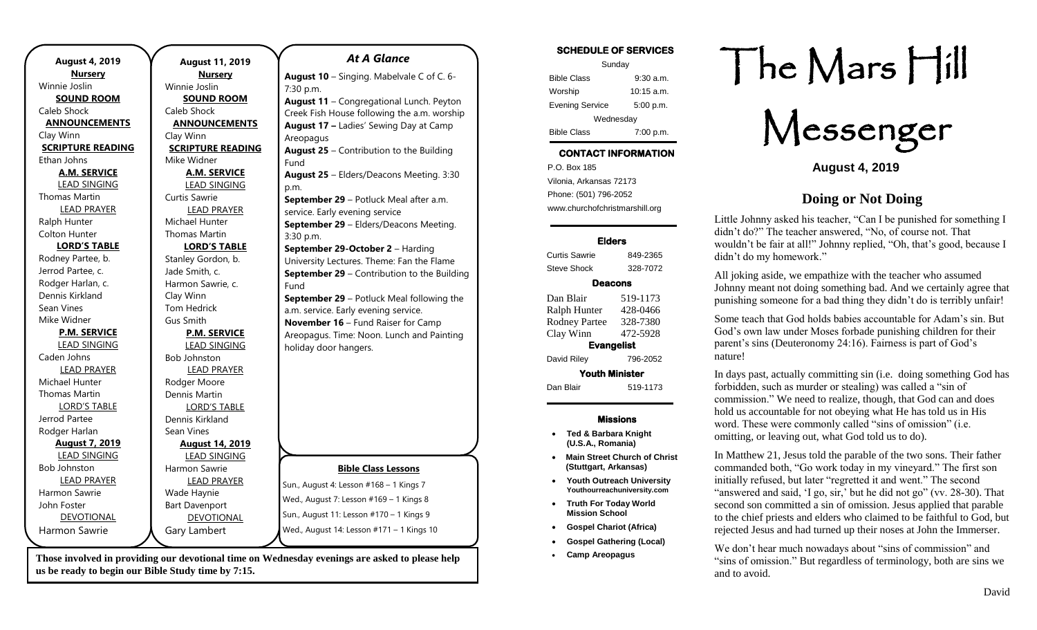| <b>August 4, 2019</b>    | <b>August 11, 2019</b>   | <b>At A Glance</b>                          | <b>SCHEDULE OF SERVICES</b><br>Sunday | heN                            |
|--------------------------|--------------------------|---------------------------------------------|---------------------------------------|--------------------------------|
| <b>Nursery</b>           | <b>Nursery</b>           | August 10 - Singing. Mabelvale C of C. 6-   | <b>Bible Class</b><br>$9:30$ a.m.     |                                |
| Winnie Joslin            | Winnie Joslin            | $7:30$ p.m.                                 | $10:15$ a.m.<br>Worship               |                                |
| <b>SOUND ROOM</b>        | <b>SOUND ROOM</b>        | August 11 - Congregational Lunch. Peyton    | 5:00 p.m.<br><b>Evening Service</b>   |                                |
| Caleb Shock              | Caleb Shock              | Creek Fish House following the a.m. worship |                                       |                                |
| <b>ANNOUNCEMENTS</b>     | <b>ANNOUNCEMENTS</b>     | August 17 - Ladies' Sewing Day at Camp      | Wednesday                             |                                |
| Clay Winn                | Clay Winn                | Areopagus                                   | <b>Bible Class</b><br>7:00 p.m.       |                                |
| <b>SCRIPTURE READING</b> | <b>SCRIPTURE READING</b> | August 25 - Contribution to the Building    | <b>CONTACT INFORMATION</b>            |                                |
| Ethan Johns              | Mike Widner              | Fund                                        |                                       | <b>Au</b>                      |
| <b>A.M. SERVICE</b>      | <b>A.M. SERVICE</b>      | August 25 - Elders/Deacons Meeting. 3:30    | P.O. Box 185                          |                                |
| <b>LEAD SINGING</b>      | <b>LEAD SINGING</b>      | p.m.                                        | Vilonia, Arkansas 72173               |                                |
| <b>Thomas Martin</b>     | Curtis Sawrie            | September 29 - Potluck Meal after a.m.      | Phone: (501) 796-2052                 | Doin                           |
| <b>LEAD PRAYER</b>       | <b>LEAD PRAYER</b>       | service. Early evening service              | www.churchofchristmarshill.org        |                                |
| Ralph Hunter             | Michael Hunter           | September 29 - Elders/Deacons Meeting.      |                                       | Little Johnny asked his tead   |
| <b>Colton Hunter</b>     | <b>Thomas Martin</b>     | 3:30 p.m.                                   |                                       | didn't do?" The teacher ans    |
| <b>LORD'S TABLE</b>      | <b>LORD'S TABLE</b>      | September 29-October 2 - Harding            | <b>Elders</b>                         | wouldn't be fair at all!" Jol  |
| Rodney Partee, b.        | Stanley Gordon, b.       | University Lectures. Theme: Fan the Flame   | <b>Curtis Sawrie</b><br>849-2365      | didn't do my homework."        |
| Jerrod Partee, c.        | Jade Smith, c.           | September 29 - Contribution to the Building | <b>Steve Shock</b><br>328-7072        | All joking aside, we empat     |
| Rodger Harlan, c.        | Harmon Sawrie, c.        | Fund                                        | <b>Deacons</b>                        | Johnny meant not doing so      |
| Dennis Kirkland          | Clay Winn                | September 29 - Potluck Meal following the   | Dan Blair<br>519-1173                 |                                |
| Sean Vines               | Tom Hedrick              | a.m. service. Early evening service.        | 428-0466<br>Ralph Hunter              | punishing someone for a ba     |
| Mike Widner              | Gus Smith                | November 16 - Fund Raiser for Camp          | 328-7380<br><b>Rodney Partee</b>      | Some teach that God holds      |
| <b>P.M. SERVICE</b>      | <b>P.M. SERVICE</b>      | Areopagus. Time: Noon. Lunch and Painting   | 472-5928<br>Clay Winn                 | God's own law under Mos        |
| <b>LEAD SINGING</b>      | <b>LEAD SINGING</b>      | holiday door hangers.                       | <b>Evangelist</b>                     | parent's sins (Deuteronomy     |
| Caden Johns              | <b>Bob Johnston</b>      |                                             | David Riley<br>796-2052               | nature!                        |
| <b>LEAD PRAYER</b>       | <b>LEAD PRAYER</b>       |                                             | <b>Youth Minister</b>                 |                                |
| Michael Hunter           | Rodger Moore             |                                             |                                       | In days past, actually comm    |
| <b>Thomas Martin</b>     | Dennis Martin            |                                             | Dan Blair<br>519-1173                 | forbidden, such as murder      |
| <b>LORD'S TABLE</b>      | <b>LORD'S TABLE</b>      |                                             |                                       | commission." We need to a      |
| Jerrod Partee            | Dennis Kirkland          |                                             | <b>Missions</b>                       | hold us accountable for not    |
| Rodger Harlan            | Sean Vines               |                                             | <b>Ted &amp; Barbara Knight</b>       | word. These were common        |
| <b>August 7, 2019</b>    | <b>August 14, 2019</b>   |                                             | (U.S.A., Romania)                     | omitting, or leaving out, wl   |
| <b>LEAD SINGING</b>      | <b>LEAD SINGING</b>      |                                             | <b>Main Street Church of Christ</b>   | In Matthew 21, Jesus told t    |
| <b>Bob Johnston</b>      | Harmon Sawrie            | <b>Bible Class Lessons</b>                  | (Stuttgart, Arkansas)                 | commanded both, "Go wor        |
| <b>LEAD PRAYER</b>       | <b>LEAD PRAYER</b>       |                                             | <b>Youth Outreach University</b>      | initially refused, but later " |
| Harmon Sawrie            | Wade Haynie              | Sun., August 4: Lesson #168 - 1 Kings 7     | Youthourreachuniversity.com           | "answered and said, 'I go,     |
| John Foster              | <b>Bart Davenport</b>    | Wed., August 7: Lesson #169 - 1 Kings 8     | <b>Truth For Today World</b>          | second son committed a sin     |
| <b>DEVOTIONAL</b>        | DEVOTIONAL               | Sun., August 11: Lesson #170 - 1 Kings 9    | <b>Mission School</b>                 | to the chief priests and elde  |
| Harmon Sawrie            | Gary Lambert             | Wed., August 14: Lesson #171 - 1 Kings 10   | <b>Gospel Chariot (Africa)</b>        | rejected Jesus and had turn    |
|                          |                          |                                             | <b>Gospel Gathering (Local)</b>       |                                |
|                          |                          |                                             |                                       | We don't hear much nowar       |

**Those involved in providing our devotional time on Wednesday evenings are asked to please help us be ready to begin our Bible Study time by 7:15.** 

• **Camp Areopagus**

## The Mars Hill

Messenger

**August 4, 2019**

## **Doing or Not Doing**

acher, "Can I be punished for something I iswered, "No, of course not. That hnny replied, "Oh, that's good, because I

thize with the teacher who assumed bomething bad. And we certainly agree that ad thing they didn't do is terribly unfair!

babies accountable for Adam's sin. But ses forbade punishing children for their  $py$  24:16). Fairness is part of God's

mitting sin (i.e. doing something God has or stealing) was called a "sin of realize, though, that God can and does obeying what He has told us in His nly called "sins of omission" (i.e. hat God told us to do).

the parable of the two sons. Their father rk today in my vineyard." The first son "regretted it and went." The second  $\sin$ ,' but he did not go" (vv. 28-30). That in of omission. Jesus applied that parable ers who claimed to be faithful to God, but red up their noses at John the Immerser.

days about "sins of commission" and "sins of omission." But regardless of terminology, both are sins we and to avoid.